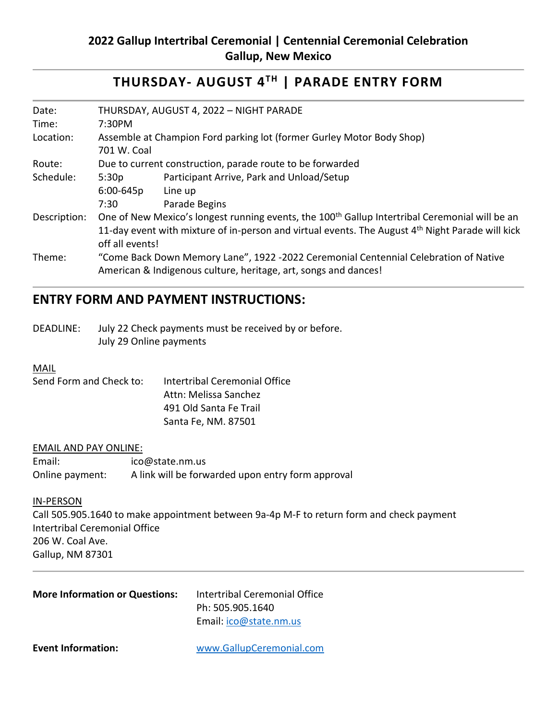# **THURSDAY- AUGUST 4TH | PARADE ENTRY FORM**

| Date:        | THURSDAY, AUGUST 4, 2022 - NIGHT PARADE                                                                    |                                           |  |  |
|--------------|------------------------------------------------------------------------------------------------------------|-------------------------------------------|--|--|
| Time:        | 7:30PM                                                                                                     |                                           |  |  |
| Location:    | Assemble at Champion Ford parking lot (former Gurley Motor Body Shop)                                      |                                           |  |  |
|              | 701 W. Coal                                                                                                |                                           |  |  |
| Route:       | Due to current construction, parade route to be forwarded                                                  |                                           |  |  |
| Schedule:    | 5:30p                                                                                                      | Participant Arrive, Park and Unload/Setup |  |  |
|              | $6:00 - 645p$                                                                                              | Line up                                   |  |  |
|              | 7:30                                                                                                       | Parade Begins                             |  |  |
| Description: | One of New Mexico's longest running events, the 100 <sup>th</sup> Gallup Intertribal Ceremonial will be an |                                           |  |  |
|              | 11-day event with mixture of in-person and virtual events. The August $4th$ Night Parade will kick         |                                           |  |  |
|              | off all events!                                                                                            |                                           |  |  |
| Theme:       | "Come Back Down Memory Lane", 1922 -2022 Ceremonial Centennial Celebration of Native                       |                                           |  |  |
|              | American & Indigenous culture, heritage, art, songs and dances!                                            |                                           |  |  |

# **ENTRY FORM AND PAYMENT INSTRUCTIONS:**

DEADLINE: July 22 Check payments must be received by or before. July 29 Online payments

### **MAIL**

| Intertribal Ceremonial Office |
|-------------------------------|
| Attn: Melissa Sanchez         |
| 491 Old Santa Fe Trail        |
| Santa Fe, NM. 87501           |
|                               |

#### EMAIL AND PAY ONLINE:

| Email:          | ico@state.nm.us                                   |
|-----------------|---------------------------------------------------|
| Online payment: | A link will be forwarded upon entry form approval |

### IN-PERSON

Call 505.905.1640 to make appointment between 9a-4p M-F to return form and check payment Intertribal Ceremonial Office 206 W. Coal Ave. Gallup, NM 87301

| <b>More Information or Questions:</b> | Intertribal Ceremonial Office<br>Ph: 505.905.1640<br>Email: ico@state.nm.us |
|---------------------------------------|-----------------------------------------------------------------------------|
| <b>Event Information:</b>             | www.GallupCeremonial.com                                                    |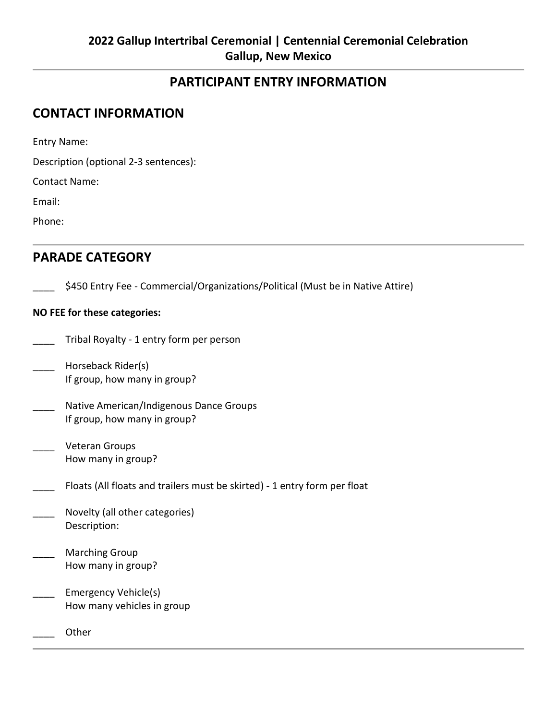## **PARTICIPANT ENTRY INFORMATION**

## **CONTACT INFORMATION**

Entry Name:

Description (optional 2-3 sentences):

Contact Name:

Email:

Phone:

## **PARADE CATEGORY**

\$450 Entry Fee - Commercial/Organizations/Political (Must be in Native Attire)

### **NO FEE for these categories:**

- \_\_\_\_ Tribal Royalty 1 entry form per person
- \_\_\_\_ Horseback Rider(s) If group, how many in group?
- Native American/Indigenous Dance Groups If group, how many in group?
- \_\_\_\_ Veteran Groups How many in group?
- Floats (All floats and trailers must be skirted) 1 entry form per float
- Novelty (all other categories) Description:
- Marching Group How many in group?
- Emergency Vehicle(s) How many vehicles in group
- \_\_\_\_ Other